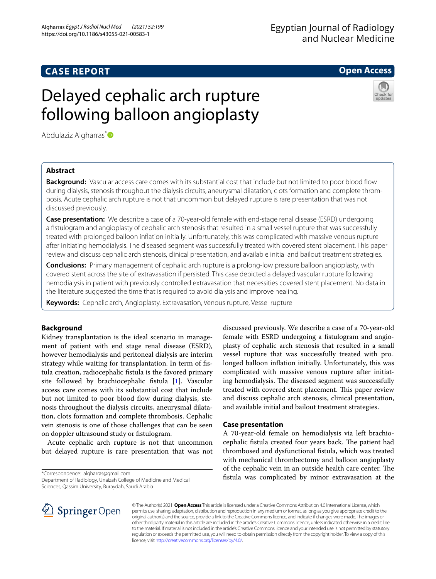# **CASE REPORT**

# Egyptian Journal of Radiology and Nuclear Medicine

# **Open Access**



# Delayed cephalic arch rupture following balloon angioplasty

Abdulaziz Algharras<sup>[\\*](http://orcid.org/0000-0002-7694-6201)</sup>

# **Abstract**

**Background:** Vascular access care comes with its substantial cost that include but not limited to poor blood flow during dialysis, stenosis throughout the dialysis circuits, aneurysmal dilatation, clots formation and complete thrombosis. Acute cephalic arch rupture is not that uncommon but delayed rupture is rare presentation that was not discussed previously.

**Case presentation:** We describe a case of a 70-year-old female with end-stage renal disease (ESRD) undergoing a fstulogram and angioplasty of cephalic arch stenosis that resulted in a small vessel rupture that was successfully treated with prolonged balloon infation initially. Unfortunately, this was complicated with massive venous rupture after initiating hemodialysis. The diseased segment was successfully treated with covered stent placement. This paper review and discuss cephalic arch stenosis, clinical presentation, and available initial and bailout treatment strategies.

**Conclusions:** Primary management of cephalic arch rupture is a prolong-low pressure balloon angioplasty, with covered stent across the site of extravasation if persisted. This case depicted a delayed vascular rupture following hemodialysis in patient with previously controlled extravasation that necessities covered stent placement. No data in the literature suggested the time that is required to avoid dialysis and improve healing.

**Keywords:** Cephalic arch, Angioplasty, Extravasation, Venous rupture, Vessel rupture

# **Background**

Kidney transplantation is the ideal scenario in management of patient with end stage renal disease (ESRD), however hemodialysis and peritoneal dialysis are interim strategy while waiting for transplantation. In term of fstula creation, radiocephalic fstula is the favored primary site followed by brachiocephalic fstula [[1\]](#page-2-0). Vascular access care comes with its substantial cost that include but not limited to poor blood flow during dialysis, stenosis throughout the dialysis circuits, aneurysmal dilatation, clots formation and complete thrombosis. Cephalic vein stenosis is one of those challenges that can be seen on doppler ultrasound study or fstulogram.

Acute cephalic arch rupture is not that uncommon but delayed rupture is rare presentation that was not

\*Correspondence: algharras@gmail.com

Department of Radiology, Unaizah College of Medicine and Medical Sciences, Qassim University, Buraydah, Saudi Arabia

SpringerOpen

discussed previously. We describe a case of a 70-year-old female with ESRD undergoing a fstulogram and angioplasty of cephalic arch stenosis that resulted in a small vessel rupture that was successfully treated with prolonged balloon infation initially. Unfortunately, this was complicated with massive venous rupture after initiating hemodialysis. The diseased segment was successfully treated with covered stent placement. This paper review and discuss cephalic arch stenosis, clinical presentation, and available initial and bailout treatment strategies.

## **Case presentation**

A 70-year-old female on hemodialysis via left brachiocephalic fistula created four years back. The patient had thrombosed and dysfunctional fstula, which was treated with mechanical thrombectomy and balloon angioplasty of the cephalic vein in an outside health care center. The fstula was complicated by minor extravasation at the

© The Author(s) 2021. **Open Access** This article is licensed under a Creative Commons Attribution 4.0 International License, which permits use, sharing, adaptation, distribution and reproduction in any medium or format, as long as you give appropriate credit to the original author(s) and the source, provide a link to the Creative Commons licence, and indicate if changes were made. The images or other third party material in this article are included in the article's Creative Commons licence, unless indicated otherwise in a credit line to the material. If material is not included in the article's Creative Commons licence and your intended use is not permitted by statutory regulation or exceeds the permitted use, you will need to obtain permission directly from the copyright holder. To view a copy of this licence, visit [http://creativecommons.org/licenses/by/4.0/.](http://creativecommons.org/licenses/by/4.0/)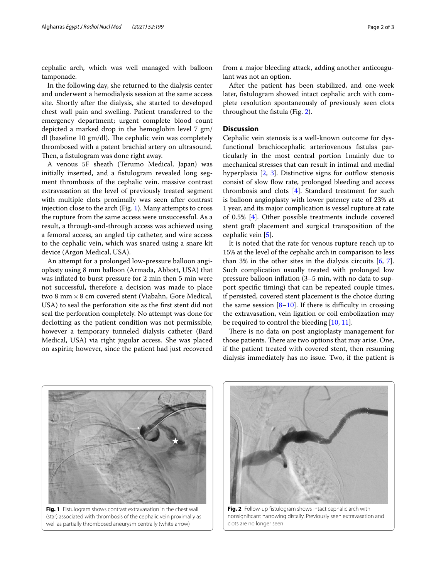cephalic arch, which was well managed with balloon tamponade.

In the following day, she returned to the dialysis center and underwent a hemodialysis session at the same access site. Shortly after the dialysis, she started to developed chest wall pain and swelling. Patient transferred to the emergency department; urgent complete blood count depicted a marked drop in the hemoglobin level 7 gm/ dl (baseline 10  $gm/dl$ ). The cephalic vein was completely thrombosed with a patent brachial artery on ultrasound. Then, a fistulogram was done right away.

A venous 5F sheath (Terumo Medical, Japan) was initially inserted, and a fstulogram revealed long segment thrombosis of the cephalic vein. massive contrast extravasation at the level of previously treated segment with multiple clots proximally was seen after contrast injection close to the arch (Fig. [1](#page-1-0)). Many attempts to cross the rupture from the same access were unsuccessful. As a result, a through-and-through access was achieved using a femoral access, an angled tip catheter, and wire access to the cephalic vein, which was snared using a snare kit device (Argon Medical, USA).

An attempt for a prolonged low-pressure balloon angioplasty using 8 mm balloon (Armada, Abbott, USA) that was infated to burst pressure for 2 min then 5 min were not successful, therefore a decision was made to place two 8 mm  $\times$  8 cm covered stent (Viabahn, Gore Medical, USA) to seal the perforation site as the frst stent did not seal the perforation completely. No attempt was done for declotting as the patient condition was not permissible, however a temporary tunneled dialysis catheter (Bard Medical, USA) via right jugular access. She was placed on aspirin; however, since the patient had just recovered from a major bleeding attack, adding another anticoagulant was not an option.

After the patient has been stabilized, and one-week later, fstulogram showed intact cephalic arch with complete resolution spontaneously of previously seen clots throughout the fstula (Fig. [2](#page-1-1)).

## **Discussion**

Cephalic vein stenosis is a well-known outcome for dysfunctional brachiocephalic arteriovenous fstulas particularly in the most central portion 1mainly due to mechanical stresses that can result in intimal and medial hyperplasia  $[2, 3]$  $[2, 3]$  $[2, 3]$  $[2, 3]$  $[2, 3]$ . Distinctive signs for outflow stenosis consist of slow flow rate, prolonged bleeding and access thrombosis and clots [\[4](#page-2-3)]. Standard treatment for such is balloon angioplasty with lower patency rate of 23% at 1 year, and its major complication is vessel rupture at rate of 0.5% [\[4](#page-2-3)]. Other possible treatments include covered stent graft placement and surgical transposition of the cephalic vein [\[5](#page-2-4)].

It is noted that the rate for venous rupture reach up to 15% at the level of the cephalic arch in comparison to less than 3% in the other sites in the dialysis circuits [\[6](#page-2-5), [7](#page-2-6)]. Such complication usually treated with prolonged low pressure balloon infation (3–5 min, with no data to support specifc timing) that can be repeated couple times, if persisted, covered stent placement is the choice during the same session  $[8-10]$  $[8-10]$ . If there is difficulty in crossing the extravasation, vein ligation or coil embolization may be required to control the bleeding [\[10](#page-2-8), [11\]](#page-2-9).

There is no data on post angioplasty management for those patients. There are two options that may arise. One, if the patient treated with covered stent, then resuming dialysis immediately has no issue. Two, if the patient is



<span id="page-1-0"></span>(star) associated with thrombosis of the cephalic vein proximally as well as partially thrombosed aneurysm centrally (white arrow)



<span id="page-1-1"></span>**Fig. 2** Follow-up fstulogram shows intact cephalic arch with nonsignifcant narrowing distally. Previously seen extravasation and clots are no longer seen